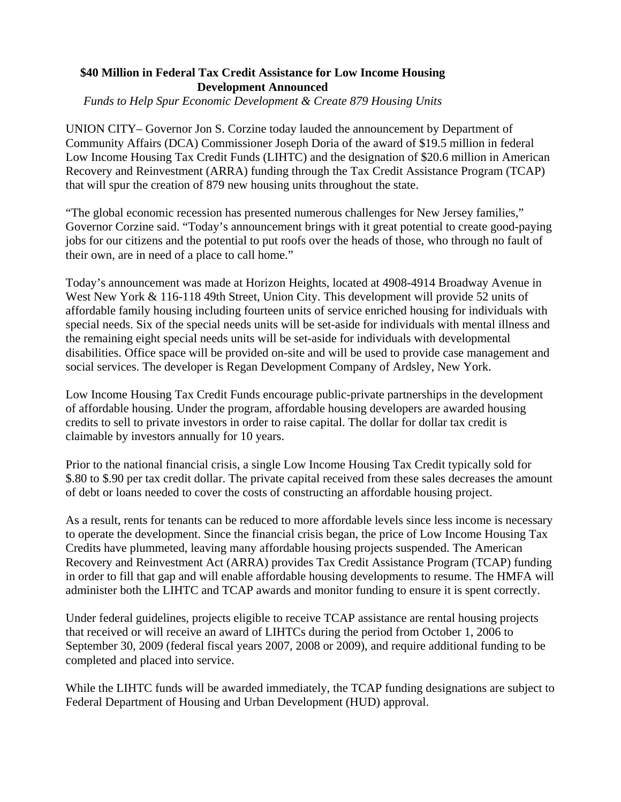## **\$40 Million in Federal Tax Credit Assistance for Low Income Housing Development Announced**

*Funds to Help Spur Economic Development & Create 879 Housing Units*

UNION CITY– Governor Jon S. Corzine today lauded the announcement by Department of Community Affairs (DCA) Commissioner Joseph Doria of the award of \$19.5 million in federal Low Income Housing Tax Credit Funds (LIHTC) and the designation of \$20.6 million in American Recovery and Reinvestment (ARRA) funding through the Tax Credit Assistance Program (TCAP) that will spur the creation of 879 new housing units throughout the state.

"The global economic recession has presented numerous challenges for New Jersey families," Governor Corzine said. "Today's announcement brings with it great potential to create good-paying jobs for our citizens and the potential to put roofs over the heads of those, who through no fault of their own, are in need of a place to call home."

Today's announcement was made at Horizon Heights, located at 4908-4914 Broadway Avenue in West New York & 116-118 49th Street, Union City. This development will provide 52 units of affordable family housing including fourteen units of service enriched housing for individuals with special needs. Six of the special needs units will be set-aside for individuals with mental illness and the remaining eight special needs units will be set-aside for individuals with developmental disabilities. Office space will be provided on-site and will be used to provide case management and social services. The developer is Regan Development Company of Ardsley, New York.

Low Income Housing Tax Credit Funds encourage public-private partnerships in the development of affordable housing. Under the program, affordable housing developers are awarded housing credits to sell to private investors in order to raise capital. The dollar for dollar tax credit is claimable by investors annually for 10 years.

Prior to the national financial crisis, a single Low Income Housing Tax Credit typically sold for \$.80 to \$.90 per tax credit dollar. The private capital received from these sales decreases the amount of debt or loans needed to cover the costs of constructing an affordable housing project.

As a result, rents for tenants can be reduced to more affordable levels since less income is necessary to operate the development. Since the financial crisis began, the price of Low Income Housing Tax Credits have plummeted, leaving many affordable housing projects suspended. The American Recovery and Reinvestment Act (ARRA) provides Tax Credit Assistance Program (TCAP) funding in order to fill that gap and will enable affordable housing developments to resume. The HMFA will administer both the LIHTC and TCAP awards and monitor funding to ensure it is spent correctly.

Under federal guidelines, projects eligible to receive TCAP assistance are rental housing projects that received or will receive an award of LIHTCs during the period from October 1, 2006 to September 30, 2009 (federal fiscal years 2007, 2008 or 2009), and require additional funding to be completed and placed into service.

While the LIHTC funds will be awarded immediately, the TCAP funding designations are subject to Federal Department of Housing and Urban Development (HUD) approval.